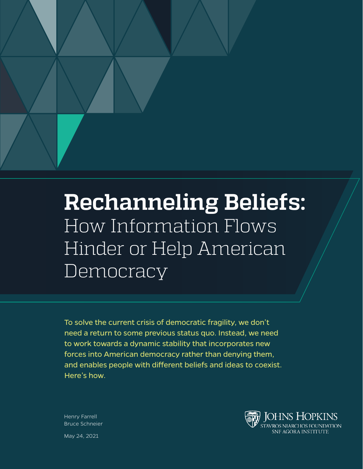

# **Rechanneling Beliefs:** How Information Flows Hinder or Help American **Democracy**

To solve the current crisis of democratic fragility, we don't need a return to some previous status quo. Instead, we need to work towards a dynamic stability that incorporates new forces into American democracy rather than denying them, and enables people with different beliefs and ideas to coexist. Here's how.



Henry Farrell Bruce Schneier

May 24, 2021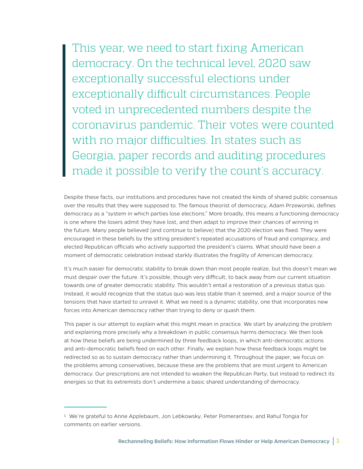This year, we need to start fixing American democracy. On the technical level, 2020 saw exceptionally successful elections under exceptionally difficult circumstances. People voted in unprecedented numbers despite the coronavirus pandemic. Their votes were counted with no major difficulties. In states such as Georgia, paper records and auditing procedures made it possible to verify the count's accuracy.

Despite these facts, our institutions and procedures have not created the kinds of shared public consensus over the results that they were supposed to. The famous theorist of democracy, Adam Przeworski, defines democracy as a "system in which parties lose elections." More broadly, this means a functioning democracy is one where the losers admit they have lost, and then adapt to improve their chances of winning in the future. Many people believed (and continue to believe) that the 2020 election was fixed. They were encouraged in these beliefs by the sitting president's repeated accusations of fraud and conspiracy, and elected Republican officials who actively supported the president's claims. What should have been a moment of democratic celebration instead starkly illustrates the fragility of American democracy.

It's much easier for democratic stability to break down than most people realize, but this doesn't mean we must despair over the future. It's possible, though very difficult, to back away from our current situation towards one of greater democratic stability. This wouldn't entail a restoration of a previous status quo. Instead, it would recognize that the status quo was less stable than it seemed, and a major source of the tensions that have started to unravel it. What we need is a dynamic stability, one that incorporates new forces into American democracy rather than trying to deny or quash them.

This paper is our attempt to explain what this might mean in practice. We start by analyzing the problem and explaining more precisely why a breakdown in public consensus harms democracy. We then look at how these beliefs are being undermined by three feedback loops, in which anti-democratic actions and anti-democratic beliefs feed on each other. Finally, we explain how these feedback loops might be redirected so as to sustain democracy rather than undermining it. Throughout the paper, we focus on the problems among conservatives, because these are the problems that are most urgent to American democracy. Our prescriptions are not intended to weaken the Republican Party, but instead to redirect its energies so that its extremists don't undermine a basic shared understanding of democracy.

<sup>1</sup> We're grateful to Anne Applebaum, Jon Lebkowsky, Peter Pomerantsev, and Rahul Tongia for comments on earlier versions.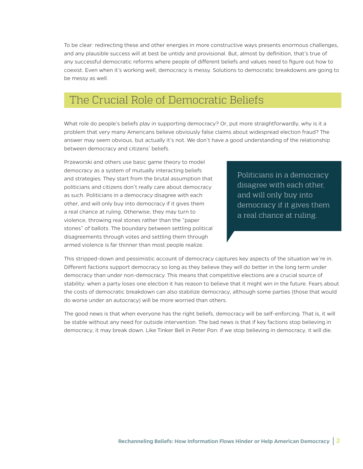To be clear: redirecting these and other energies in more constructive ways presents enormous challenges, and any plausible success will at best be untidy and provisional. But, almost by definition, that's true of any successful democratic reforms where people of different beliefs and values need to figure out how to coexist. Even when it's working well, democracy is messy. Solutions to democratic breakdowns are going to be messy as well.

### The Crucial Role of Democratic Beliefs

What role do people's beliefs play in supporting democracy? Or, put more straightforwardly, why is it a problem that very many Americans believe obviously false claims about widespread election fraud? The answer may seem obvious, but actually it's not. We don't have a good understanding of the relationship between democracy and citizens' beliefs.

Przeworski and others use basic game theory to model democracy as a system of mutually interacting beliefs and strategies. They start from the brutal assumption that politicians and citizens don't really care about democracy as such. Politicians in a democracy disagree with each other, and will only buy into democracy if it gives them a real chance at ruling. Otherwise, they may turn to violence, throwing real stones rather than the "paper stones" of ballots. The boundary between settling political disagreements through votes and settling them through armed violence is far thinner than most people realize.

Politicians in a democracy disagree with each other, and will only buy into democracy if it gives them a real chance at ruling.

This stripped-down and pessimistic account of democracy captures key aspects of the situation we're in. Different factions support democracy so long as they believe they will do better in the long term under democracy than under non-democracy. This means that competitive elections are a crucial source of stability: when a party loses one election it has reason to believe that it might win in the future. Fears about the costs of democratic breakdown can also stabilize democracy, although some parties (those that would do worse under an autocracy) will be more worried than others.

The good news is that when everyone has the right beliefs, democracy will be self-enforcing. That is, it will be stable without any need for outside intervention. The bad news is that if key factions stop believing in democracy, it may break down. Like Tinker Bell in *Peter Pan*: if we stop believing in democracy, it will die.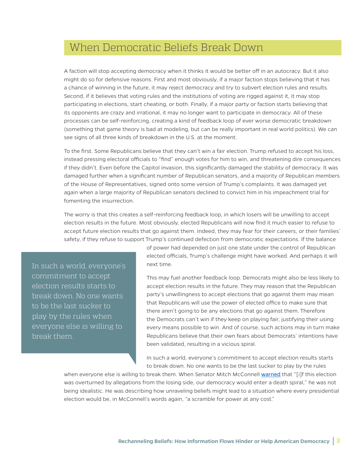## When Democratic Beliefs Break Down

A faction will stop accepting democracy when it thinks it would be better off in an autocracy. But it also might do so for defensive reasons. First and most obviously, if a major faction stops believing that it has a chance of winning in the future, it may reject democracy and try to subvert election rules and results. Second, if it believes that voting rules and the institutions of voting are rigged against it, it may stop participating in elections, start cheating, or both. Finally, if a major party or faction starts believing that its opponents are crazy and irrational, it may no longer want to participate in democracy. All of these processes can be self-reinforcing, creating a kind of feedback loop of ever worse democratic breakdown (something that game theory is bad at modeling, but can be really important in real world politics). We can see signs of all three kinds of breakdown in the U.S. at the moment.

To the first. Some Republicans believe that they can't win a fair election. Trump refused to accept his loss, instead pressing electoral officials to "find" enough votes for him to win, and threatening dire consequences if they didn't. Even before the Capitol invasion, this significantly damaged the stability of democracy. It was damaged further when a significant number of Republican senators, and a majority of Republican members of the House of Representatives, signed onto some version of Trump's complaints. It was damaged yet again when a large majority of Republican senators declined to convict him in his impeachment trial for fomenting the insurrection.

The worry is that this creates a self-reinforcing feedback loop, in which losers will be unwilling to accept election results in the future. Most obviously, elected Republicans will now find it much easier to refuse to accept future election results that go against them. Indeed, they may fear for their careers, or their families' safety, if they refuse to support Trump's continued defection from democratic expectations. If the balance

In such a world, everyone's commitment to accept election results starts to break down. No one wants to be the last sucker to play by the rules when everyone else is willing to break them.

of power had depended on just one state under the control of Republican elected officials, Trump's challenge might have worked. And perhaps it will next time.

This may fuel another feedback loop. Democrats might also be less likely to accept election results in the future. They may reason that the Republican party's unwillingness to accept elections that go against them may mean that Republicans will use the power of elected office to make sure that there aren't going to *be* any elections that go against them. Therefore the Democrats can't win if they keep on playing fair, justifying their using every means possible to win. And of course, such actions may in turn make Republicans believe that their own fears about Democrats' intentions have been validated, resulting in a vicious spiral.

In such a world, everyone's commitment to accept election results starts to break down. No one wants to be the last sucker to play by the rules

when everyone else is willing to break them. When Senator Mitch McConnell [warned](https://www.rollingstone.com/politics/politics-news/watch-mitch-mcconnell-warns-of-democratic-death-spiral-minutes-before-pro-trump-mob-storms-capitol-1110594/) that "[i]f this election was overturned by allegations from the losing side, our democracy would enter a death spiral," he was not being idealistic. He was describing how unraveling beliefs might lead to a situation where every presidential election would be, in McConnell's words again, "a scramble for power at any cost."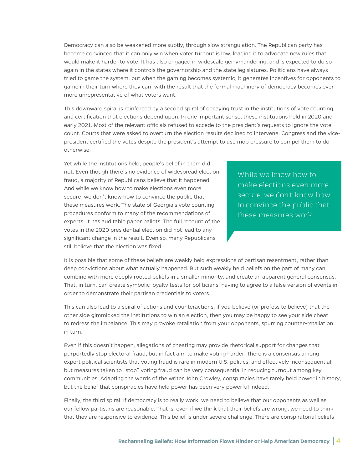Democracy can also be weakened more subtly, through slow strangulation. The Republican party has become convinced that it can only win when voter turnout is low, leading it to advocate new rules that would make it harder to vote. It has also engaged in widescale gerrymandering, and is expected to do so again in the states where it controls the governorship and the state legislatures. Politicians have always tried to game the system, but when the gaming becomes systemic, it generates incentives for opponents to game in their turn where they can, with the result that the formal machinery of democracy becomes ever more unrepresentative of what voters want.

This downward spiral is reinforced by a second spiral of decaying trust in the institutions of vote counting and certification that elections depend upon. In one important sense, these institutions held in 2020 and early 2021. Most of the relevant officials refused to accede to the president's requests to ignore the vote count. Courts that were asked to overturn the election results declined to intervene. Congress and the vicepresident certified the votes despite the president's attempt to use mob pressure to compel them to do otherwise.

Yet while the institutions held, people's belief in them did not. Even though there's no evidence of widespread election fraud, a majority of Republicans believe that it happened. And while we know how to make elections even more secure, we don't know how to convince the public that these measures work. The state of Georgia's vote counting procedures conform to many of the recommendations of experts. It has auditable paper ballots. The full recount of the votes in the 2020 presidential election did not lead to any significant change in the result. Even so, many Republicans still believe that the election was fixed.

While we know how to make elections even more secure, we don't know how to convince the public that these measures work.

It is possible that some of these beliefs are weakly held expressions of partisan resentment, rather than deep convictions about what actually happened. But such weakly held beliefs on the part of many can combine with more deeply rooted beliefs in a smaller minority, and create an apparent general consensus. That, in turn, can create symbolic loyalty tests for politicians: having to agree to a false version of events in order to demonstrate their partisan credentials to voters.

This can also lead to a spiral of actions and counteractions. If you believe (or profess to believe) that the other side gimmicked the institutions to win an election, then you may be happy to see your side cheat to redress the imbalance. This may provoke retaliation from your opponents, spurring counter-retaliation in turn.

Even if this doesn't happen, allegations of cheating may provide rhetorical support for changes that purportedly stop electoral fraud, but in fact aim to make voting harder. There is a consensus among expert political scientists that voting fraud is rare in modern U.S. politics, and effectively inconsequential; but measures taken to "stop" voting fraud can be very consequential in reducing turnout among key communities. Adapting the words of the writer John Crowley, conspiracies have rarely held power in history, but the belief that conspiracies have held power has been very powerful indeed.

Finally, the third spiral. If democracy is to really work, we need to believe that our opponents as well as our fellow partisans are reasonable. That is, even if we think that their beliefs are wrong, we need to think that they are responsive to evidence. This belief is under severe challenge. There are conspiratorial beliefs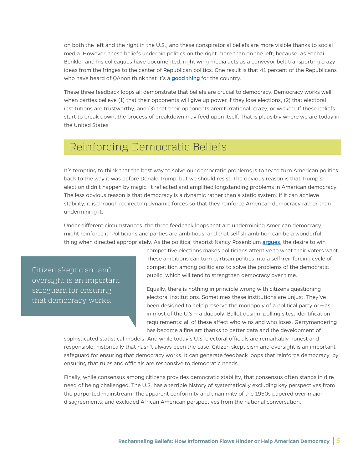on both the left and the right in the U.S., and these conspiratorial beliefs are more visible thanks to social media. However, these beliefs underpin politics on the right more than on the left, because, as Yochai Benkler and his colleagues have documented, right wing media acts as a conveyor belt transporting crazy ideas from the fringes to the center of Republican politics. One result is that 41 percent of the Republicans who have heard of OAnon think that it's a [good thing](https://www.pewresearch.org/fact-tank/2020/11/16/5-facts-about-the-qanon-conspiracy-theories/) for the country.

These three feedback loops all demonstrate that beliefs are crucial to democracy. Democracy works well when parties believe (1) that their opponents will give up power if they lose elections, (2) that electoral institutions are trustworthy, and (3) that their opponents aren't irrational, crazy, or wicked. If these beliefs start to break down, the process of breakdown may feed upon itself. That is plausibly where we are today in the United States.

#### Reinforcing Democratic Beliefs

It's tempting to think that the best way to solve our democratic problems is to try to turn American politics back to the way it was before Donald Trump, but we should resist. The obvious reason is that Trump's election didn't happen by magic. It reflected and amplified longstanding problems in American democracy. The less obvious reason is that democracy is a dynamic rather than a static system. If it can achieve stability, it is through redirecting dynamic forces so that they reinforce American democracy rather than undermining it.

Under different circumstances, the three feedback loops that are undermining American democracy might reinforce it. Politicians and parties are ambitious, and that selfish ambition can be a wonderful thing when directed appropriately. As the political theorist Nancy Rosenblum [argues](https://press.princeton.edu/books/paperback/9780691148144/on-the-side-of-the-angels), the desire to win

Citizen skepticism and oversight is an important safeguard for ensuring that democracy works.

competitive elections makes politicians attentive to what their voters want. These ambitions can turn partisan politics into a self-reinforcing cycle of competition among politicians to solve the problems of the democratic public, which will tend to strengthen democracy over time.

Equally, there is nothing in principle wrong with citizens questioning electoral institutions. Sometimes these institutions are unjust. They've been designed to help preserve the monopoly of a political party or—as in most of the U.S.—a duopoly. Ballot design, polling sites, identification requirements: all of these affect who wins and who loses. Gerrymandering has become a fine art thanks to better data and the development of

sophisticated statistical models. And while today's U.S. electoral officials are remarkably honest and responsible, historically that hasn't always been the case. Citizen skepticism and oversight is an important safeguard for ensuring that democracy works. It can generate feedback loops that reinforce democracy, by ensuring that rules and officials are responsive to democratic needs.

Finally, while consensus among citizens provides democratic stability, that consensus often stands in dire need of being challenged. The U.S. has a terrible history of systematically excluding key perspectives from the purported mainstream. The apparent conformity and unanimity of the 1950s papered over major disagreements, and excluded African American perspectives from the national conversation.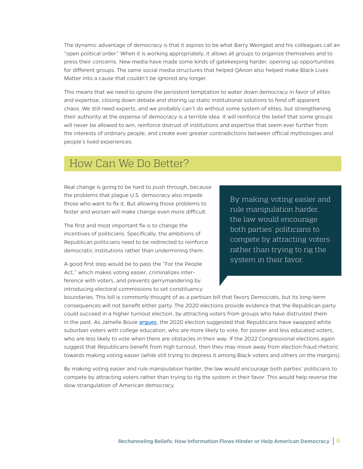The dynamic advantage of democracy is that it aspires to be what Barry Weingast and his colleagues call an "open political order." When it is working appropriately, it allows all groups to organize themselves and to press their concerns. New media have made some kinds of gatekeeping harder, opening up opportunities for different groups. The same social media structures that helped QAnon also helped make Black Lives Matter into a cause that couldn't be ignored any longer.

This means that we need to ignore the persistent temptation to water down democracy in favor of elites and expertise, closing down debate and shoring up static institutional solutions to fend off apparent chaos. We still need experts, and we probably can't do without some system of elites, but strengthening their authority at the expense of democracy is a terrible idea. It will reinforce the belief that some groups will never be allowed to win, reinforce distrust of institutions and expertise that seem ever further from the interests of ordinary people, and create ever greater contradictions between official mythologies and people's lived experiences.

### How Can We Do Better?

Real change is going to be hard to push through, because the problems that plague U.S. democracy also impede those who want to fix it. But allowing those problems to fester and worsen will make change even more difficult.

The first and most important fix is to change the incentives of politicians. Specifically, the ambitions of Republican politicians need to be redirected to reinforce democratic institutions rather than undermining them.

A good first step would be to pass the "For the People Act," which makes voting easier, criminalizes interference with voters, and prevents gerrymandering by introducing electoral commissions to set constituency By making voting easier and rule manipulation harder, the law would encourage both parties' politicians to compete by attracting voters rather than trying to rig the system in their favor.

boundaries. This bill is commonly thought of as a partisan bill that favors Democrats, but its long-term consequences will not benefit either party. The 2020 elections provide evidence that the Republican party could succeed in a higher turnout election, by attracting voters from groups who have distrusted them in the past. As Jamelle Bouie [argues](https://twitter.com/jbouie/status/1362051763633856519), the 2020 election suggested that Republicans have swapped white suburban voters with college education, who are more likely to vote, for poorer and less educated voters, who are less likely to vote when there are obstacles in their way. If the 2022 Congressional elections again suggest that Republicans benefit from high turnout, then they may move away from election fraud rhetoric towards making voting easier (while still trying to depress it among Black voters and others on the margins).

By making voting easier and rule manipulation harder, the law would encourage both parties' politicians to compete by attracting voters rather than trying to rig the system in their favor. This would help reverse the slow strangulation of American democracy.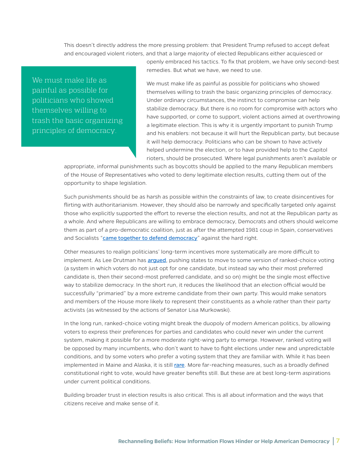This doesn't directly address the more pressing problem: that President Trump refused to accept defeat and encouraged violent rioters, and that a large majority of elected Republicans either acquiesced or

**The must make life as<br>The mainful as nossible for** painful as possible for politicians who showed **that the** themselves willing <mark>to</mark><br>trash the basic organi<sup>.</sup> trash the basic organizing principles of democracy.

openly embraced his tactics. To fix that problem, we have only second-best remedies. But what we have, we need to use.

We must make life as painful as possible for politicians who showed themselves willing to trash the basic organizing principles of democracy. Under ordinary circumstances, the instinct to compromise can help stabilize democracy. But there is no room for compromise with actors who have supported, or come to support, violent actions aimed at overthrowing a legitimate election. This is why it is urgently important to punish Trump and his enablers: not because it will hurt the Republican party, but because it will help democracy. Politicians who can be shown to have actively helped undermine the election, or to have provided help to the Capitol rioters, should be prosecuted. Where legal punishments aren't available or

appropriate, informal punishments such as boycotts should be applied to the many Republican members of the House of Representatives who voted to deny legitimate election results, cutting them out of the opportunity to shape legislation.

Such punishments should be as harsh as possible within the constraints of law, to create disincentives for flirting with authoritarianism. However, they should also be narrowly and specifically targeted only against those who explicitly supported the effort to reverse the election results, and not at the Republican party as a whole. And where Republicans are willing to embrace democracy, Democrats and others should welcome them as part of a pro-democratic coalition, just as after the attempted 1981 coup in Spain, conservatives and Socialists "[came together to defend democracy](https://www.washingtonpost.com/politics/2021/01/27/some-gop-members-didnt-accept-bidens-win-what-happens-when-an-anti-democratic-faction-rocks-democracy/)" against the hard right.

Other measures to realign politicians' long-term incentives more systematically are more difficult to implement. As Lee Drutman has [argued](https://global.oup.com/academic/product/breaking-the-two-party-doom-loop-9780190913854?cc=us&lang=en&), pushing states to move to some version of ranked-choice voting (a system in which voters do not just opt for one candidate, but instead say who their most preferred candidate is, then their second-most preferred candidate, and so on) might be the single most effective way to stabilize democracy. In the short run, it reduces the likelihood that an election official would be successfully "primaried" by a more extreme candidate from their own party. This would make senators and members of the House more likely to represent their constituents as a whole rather than their party activists (as witnessed by the actions of Senator Lisa Murkowski).

In the long run, ranked-choice voting might break the duopoly of modern American politics, by allowing voters to express their preferences for parties and candidates who could never win under the current system, making it possible for a more moderate right-wing party to emerge. However, ranked voting will be opposed by many incumbents, who don't want to have to fight elections under new and unpredictable conditions, and by some voters who prefer a voting system that they are familiar with. While it has been implemented in Maine and Alaska, it is still [rare](https://www.fairvote.org/where_is_ranked_choice_voting_used). More far-reaching measures, such as a broadly defined constitutional right to vote, would have greater benefits still. But these are at best long-term aspirations under current political conditions.

Building broader trust in election results is also critical. This is all about information and the ways that citizens receive and make sense of it.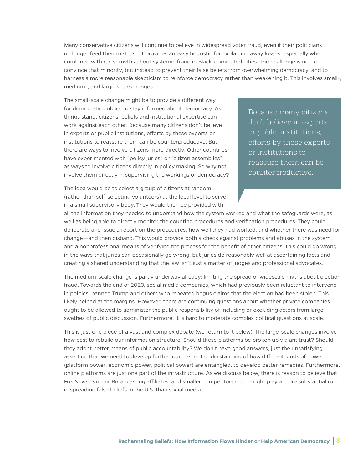Many conservative citizens will continue to believe in widespread voter fraud, even if their politicians no longer feed their mistrust. It provides an easy heuristic for explaining away losses, especially when combined with racist myths about systemic fraud in Black-dominated cities. The challenge is not to convince that minority, but instead to prevent their false beliefs from overwhelming democracy, and to harness a more reasonable skepticism to reinforce democracy rather than weakening it. This involves small-, medium-, and large-scale changes.

The small-scale change might be to provide a different way for democratic publics to stay informed about democracy. As things stand, citizens' beliefs and institutional expertise can work against each other. Because many citizens don't believe in experts or public institutions, efforts by these experts or institutions to reassure them can be counterproductive. But there are ways to involve citizens more directly. Other countries have experimented with "policy juries" or "citizen assemblies" as ways to involve citizens directly in policy making. So why not involve them directly in supervising the workings of democracy?

The idea would be to select a group of citizens at random (rather than self-selecting volunteers) at the local level to serve in a small supervisory body. They would then be provided with

Because many citizens don't believe in experts or public institutions, efforts by these experts or institutions to reassure them can be counterproductive.

all the information they needed to understand how the system worked and what the safeguards were, as well as being able to directly monitor the counting procedures and verification procedures. They could deliberate and issue a report on the procedures, how well they had worked, and whether there was need for change—and then disband. This would provide both a check against problems and abuses in the system, and a nonprofessional means of verifying the process for the benefit of other citizens. This could go wrong in the ways that juries can occasionally go wrong, but juries do reasonably well at ascertaining facts and creating a shared understanding that the law isn't just a matter of judges and professional advocates.

The medium-scale change is partly underway already: limiting the spread of widescale myths about election fraud. Towards the end of 2020, social media companies, which had previously been reluctant to intervene in politics, banned Trump and others who repeated bogus claims that the election had been stolen. This likely helped at the margins. However, there are continuing questions about whether private companies ought to be allowed to administer the public responsibility of including or excluding actors from large swathes of public discussion. Furthermore, it is hard to moderate complex political questions at scale.

This is just one piece of a vast and complex debate (we return to it below). The large-scale changes involve how best to rebuild our information structure. Should these platforms be broken up via antitrust? Should they adopt better means of public accountability? We don't have good answers, just the unsatisfying assertion that we need to develop further our nascent understanding of how different kinds of power (platform power, economic power, political power) are entangled, to develop better remedies. Furthermore, online platforms are just one part of the infrastructure. As we discuss below, there is reason to believe that Fox News, Sinclair Broadcasting affiliates, and smaller competitors on the right play a more substantial role in spreading false beliefs in the U.S. than social media.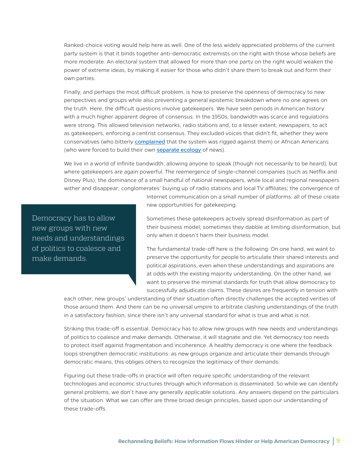Ranked-choice voting would help here as well. One of the less widely appreciated problems of the current party system is that it binds together anti-democratic extremists on the right with those whose beliefs are more moderate. An electoral system that allowed for more than one party on the right would weaken the power of extreme ideas, by making it easier for those who didn't share them to break out and form their own parties.

Finally, and perhaps the most difficult problem, is how to preserve the openness of democracy to new perspectives and groups while also preventing a general epistemic breakdown where no one agrees on the truth. Here, the difficult questions involve gatekeepers. We have seen periods in American history with a much higher apparent degree of consensus. In the 1950s, bandwidth was scarce and regulations were strong. This allowed television networks, radio stations and, to a lesser extent, newspapers, to act as gatekeepers, enforcing a centrist consensus. They excluded voices that didn't fit, whether they were conservatives (who bitterly complained that the system was rigged against them) or African Americans (who were forced to build their own [separate ecology](https://www.versobooks.com/books/1185-news-for-all-the-people) of news).

We live in a world of infinite bandwidth, allowing anyone to speak (though not necessarily to be heard), but where gatekeepers are again powerful. The reemergence of single-channel companies (such as Netflix and Disney Plus); the dominance of a small handful of national newspapers, while local and regional newspapers wither and disappear; conglomerates' buying up of radio stations and local TV affiliates; the convergence of

> Internet communication on a small number of platforms: all of these create new opportunities for gatekeeping.

**"** Citizen skepticism and oversight is an important Democracy has to allow new groups with new needs and understandings<br>of politics to coalesce and of politics to coalesce and make demands.

Sometimes these gatekeepers actively spread disinformation as part of their business model; sometimes they dabble at limiting disinformation, but only when it doesn't harm their business model.

The fundamental trade-off here is the following: On one hand, we want to preserve the opportunity for people to articulate their shared interests and political aspirations, even when these understandings and aspirations are at odds with the existing majority understanding. On the other hand, we want to preserve the minimal standards for truth that allow democracy to successfully adjudicate claims. These desires are frequently in tension with

each other; new groups' understanding of their situation often directly challenges the accepted verities of those around them. And there can be no universal umpire to arbitrate clashing understandings of the truth in a satisfactory fashion, since there isn't any universal standard for what is true and what is not.

Striking this trade-off is essential. Democracy has to allow new groups with new needs and understandings of politics to coalesce and make demands. Otherwise, it will stagnate and die. Yet democracy too needs to protect itself against fragmentation and incoherence. A healthy democracy is one where the feedback loops strengthen democratic institutions: as new groups organize and articulate their demands through democratic means, this obliges others to recognize the legitimacy of their demands.

Figuring out these trade-offs in practice will often require specific understanding of the relevant technologies and economic structures through which information is disseminated. So while we can identify general problems, we don't have any generally applicable solutions. Any answers depend on the particulars of the situation. What we can offer are three broad design principles, based upon our understanding of these trade-offs.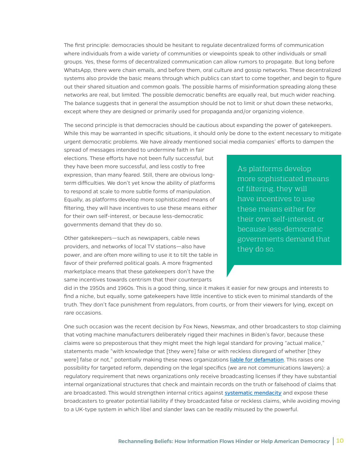The first principle: democracies should be hesitant to regulate decentralized forms of communication where individuals from a wide variety of communities or viewpoints speak to other individuals or small groups. Yes, these forms of decentralized communication can allow rumors to propagate. But long before WhatsApp, there were chain emails, and before them, oral culture and gossip networks. These decentralized systems also provide the basic means through which publics can start to come together, and begin to figure out their shared situation and common goals. The possible harms of misinformation spreading along these networks are real, but limited. The possible democratic benefits are equally real, but much wider reaching. The balance suggests that in general the assumption should be not to limit or shut down these networks, except where they are designed or primarily used for propaganda and/or organizing violence.

The second principle is that democracies should be cautious about expanding the power of gatekeepers. While this may be warranted in specific situations, it should only be done to the extent necessary to mitigate urgent democratic problems. We have already mentioned social media companies' efforts to dampen the

spread of messages intended to undermine faith in fair elections. These efforts have not been fully successful, but they have been more successful, and less costly to free expression, than many feared. Still, there are obvious longterm difficulties. We don't yet know the ability of platforms to respond at scale to more subtle forms of manipulation. Equally, as platforms develop more sophisticated means of filtering, they will have incentives to use these means either for their own self-interest, or because less-democratic governments demand that they do so.

Other gatekeepers—such as newspapers, cable news providers, and networks of local TV stations—also have power, and are often more willing to use it to tilt the table in favor of their preferred political goals. A more fragmented marketplace means that these gatekeepers don't have the same incentives towards centrism that their counterparts

As platforms develop more sophisticated means of filtering, they will have incentives to use these means either for their own self-interest, or because less-democratic governments demand that they do so.

did in the 1950s and 1960s. This is a good thing, since it makes it easier for new groups and interests to find a niche, but equally, some gatekeepers have little incentive to stick even to minimal standards of the truth. They don't face punishment from regulators, from courts, or from their viewers for lying, except on rare occasions.

One such occasion was the recent decision by Fox News, Newsmax, and other broadcasters to stop claiming that voting machine manufacturers deliberately rigged their machines in Biden's favor, because these claims were so preposterous that they might meet the high legal standard for proving "actual malice," statements made "with knowledge that [they were] false or with reckless disregard of whether [they were] false or not," potentially making these news organizations [liable for defamation](https://www.nytimes.com/2021/03/26/business/media/fox-news-defamation-suit-dominion.html). This raises one possibility for targeted reform, depending on the legal specifics (we are not communications lawyers): a regulatory requirement that news organizations only receive broadcasting licenses if they have substantial internal organizational structures that check and maintain records on the truth or falsehood of claims that are broadcasted. This would strengthen internal critics against [systematic mendacity](https://apnews.com/article/49b6afc41a47e1c6491ccf78884f3213) and expose these broadcasters to greater potential liability if they broadcasted false or reckless claims, while avoiding moving to a UK-type system in which libel and slander laws can be readily misused by the powerful.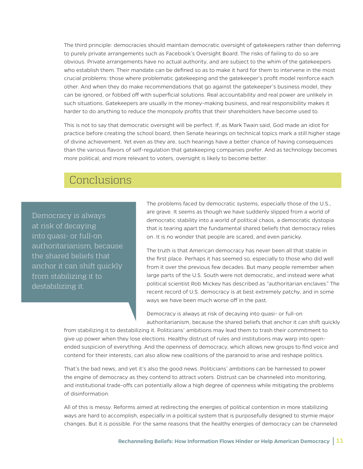The third principle: democracies should maintain democratic oversight of gatekeepers rather than deferring to purely private arrangements such as Facebook's Oversight Board. The risks of failing to do so are obvious. Private arrangements have no actual authority, and are subject to the whim of the gatekeepers who establish them. Their mandate can be defined so as to make it hard for them to intervene in the most crucial problems: those where problematic gatekeeping and the gatekeeper's profit model reinforce each other. And when they do make recommendations that go against the gatekeeper's business model, they can be ignored, or fobbed off with superficial solutions. Real accountability and real power are unlikely in such situations. Gatekeepers are usually in the money-making business, and real responsibility makes it harder to do anything to reduce the monopoly profits that their shareholders have become used to.

This is not to say that democratic oversight will be perfect. If, as Mark Twain said, God made an idiot for practice before creating the school board, then Senate hearings on technical topics mark a still higher stage of divine achievement. Yet even as they are, such hearings have a better chance of having consequences than the various flavors of self-regulation that gatekeeping companies prefer. And as technology becomes more political, and more relevant to voters, oversight is likely to become better.

#### Conclusions

Democracy is always at risk of decaying into quasi- or full-on authoritarianism, because the shared beliefs that anchor it can shift quickly from stabilizing it to destabilizing it.

The problems faced by democratic systems, especially those of the U.S., are grave. It seems as though we have suddenly slipped from a world of democratic stability into a world of political chaos, a democratic dystopia that is tearing apart the fundamental shared beliefs that democracy relies on. It is no wonder that people are scared, and even panicky.

The truth is that American democracy has never been all that stable in the first place. Perhaps it has seemed so, especially to those who did well from it over the previous few decades. But many people remember when large parts of the U.S. South were not democratic, and instead were what political scientist Rob Mickey has described as "authoritarian enclaves." The recent record of U.S. democracy is at best extremely patchy, and in some ways we have been much worse off in the past.

Democracy is always at risk of decaying into quasi- or full-on authoritarianism, because the shared beliefs that anchor it can shift quickly

from stabilizing it to destabilizing it. Politicians' ambitions may lead them to trash their commitment to give up power when they lose elections. Healthy distrust of rules and institutions may warp into openended suspicion of everything. And the openness of democracy, which allows new groups to find voice and contend for their interests, can also allow new coalitions of the paranoid to arise and reshape politics.

That's the bad news, and yet it's also the good news. Politicians' ambitions can be harnessed to power the engine of democracy as they contend to attract voters. Distrust can be channeled into monitoring, and institutional trade-offs can potentially allow a high degree of openness while mitigating the problems of disinformation.

All of this is messy. Reforms aimed at redirecting the energies of political contention in more stabilizing ways are hard to accomplish, especially in a political system that is purposefully designed to stymie major changes. But it *is* possible. For the same reasons that the healthy energies of democracy can be channeled